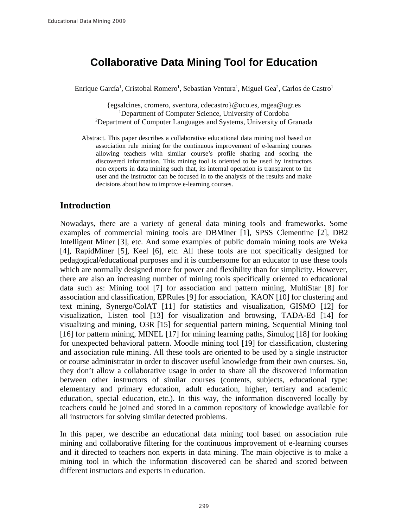# **Collaborative Data Mining Tool for Education**

Enrique García<sup>1</sup>, Cristobal Romero<sup>1</sup>, Sebastian Ventura<sup>1</sup>, Miguel Gea<sup>2</sup>, Carlos de Castro<sup>1</sup>

{egsalcines, cromero, sventura, cdecastro}@uco.es, mgea@ugr.es <sup>1</sup>Department of Computer Science, University of Cordoba <sup>2</sup>Department of Computer Languages and Systems, University of Granada

Abstract. This paper describes a collaborative educational data mining tool based on association rule mining for the continuous improvement of e-learning courses allowing teachers with similar course's profile sharing and scoring the discovered information. This mining tool is oriented to be used by instructors non experts in data mining such that, its internal operation is transparent to the user and the instructor can be focused in to the analysis of the results and make decisions about how to improve e-learning courses.

## **Introduction**

Nowadays, there are a variety of general data mining tools and frameworks. Some examples of commercial mining tools are DBMiner [1], SPSS Clementine [2], DB2 Intelligent Miner [3], etc. And some examples of public domain mining tools are Weka [4], RapidMiner [5], Keel [6], etc. All these tools are not specifically designed for pedagogical/educational purposes and it is cumbersome for an educator to use these tools which are normally designed more for power and flexibility than for simplicity. However, there are also an increasing number of mining tools specifically oriented to educational data such as: Mining tool [7] for association and pattern mining, MultiStar [8] for association and classification, EPRules [9] for association, KAON [10] for clustering and text mining, Synergo/ColAT [11] for statistics and visualization, GISMO [12] for visualization, Listen tool [13] for visualization and browsing, TADA-Ed [14] for visualizing and mining, O3R [15] for sequential pattern mining, Sequential Mining tool [16] for pattern mining, MINEL [17] for mining learning paths, Simulog [18] for looking for unexpected behavioral pattern. Moodle mining tool [19] for classification, clustering and association rule mining. All these tools are oriented to be used by a single instructor or course administrator in order to discover useful knowledge from their own courses. So, they don't allow a collaborative usage in order to share all the discovered information between other instructors of similar courses (contents, subjects, educational type: elementary and primary education, adult education, higher, tertiary and academic education, special education, etc.). In this way, the information discovered locally by teachers could be joined and stored in a common repository of knowledge available for all instructors for solving similar detected problems.

In this paper, we describe an educational data mining tool based on association rule mining and collaborative filtering for the continuous improvement of e-learning courses and it directed to teachers non experts in data mining. The main objective is to make a mining tool in which the information discovered can be shared and scored between different instructors and experts in education.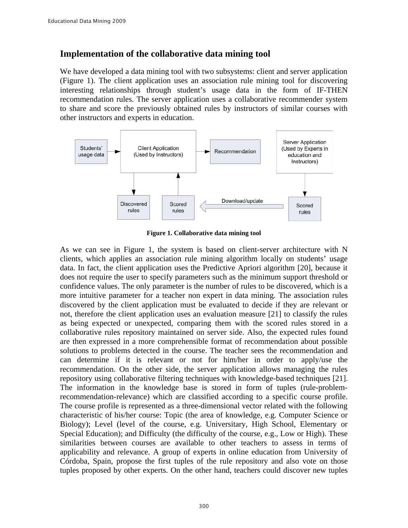## Implementation of the collaborative data mining tool

We have developed a data mining tool with two subsystems: client and server application (Figure 1). The client application uses an association rule mining tool for discovering interesting relationships through student's usage data in the form of IF-THEN recommendation rules. The server application uses a collaborative recommender system to share and score the previously obtained rules by instructors of similar courses with other instructors and experts in education.



Figure 1. Collaborative data mining tool

As we can see in Figure 1, the system is based on client-server architecture with N clients, which applies an association rule mining algorithm locally on students' usage data. In fact, the client application uses the Predictive Apriori algorithm [20], because it does not require the user to specify parameters such as the minimum support threshold or confidence values. The only parameter is the number of rules to be discovered, which is a more intuitive parameter for a teacher non expert in data mining. The association rules discovered by the client application must be evaluated to decide if they are relevant or not, therefore the client application uses an evaluation measure [21] to classify the rules as being expected or unexpected, comparing them with the scored rules stored in a collaborative rules repository maintained on server side. Also, the expected rules found are then expressed in a more comprehensible format of recommendation about possible solutions to problems detected in the course. The teacher sees the recommendation and can determine if it is relevant or not for him/her in order to apply/use the recommendation. On the other side, the server application allows managing the rules repository using collaborative filtering techniques with knowledge-based techniques [21]. The information in the knowledge base is stored in form of tuples (rule-problemrecommendation-relevance) which are classified according to a specific course profile. The course profile is represented as a three-dimensional vector related with the following characteristic of his/her course: Topic (the area of knowledge, e.g. Computer Science or Biology); Level (level of the course, e.g. Universitary, High School, Elementary or Special Education); and Difficulty (the difficulty of the course, e.g., Low or High). These similarities between courses are available to other teachers to assess in terms of applicability and relevance. A group of experts in online education from University of Córdoba, Spain, propose the first tuples of the rule repository and also vote on those tuples proposed by other experts. On the other hand, teachers could discover new tuples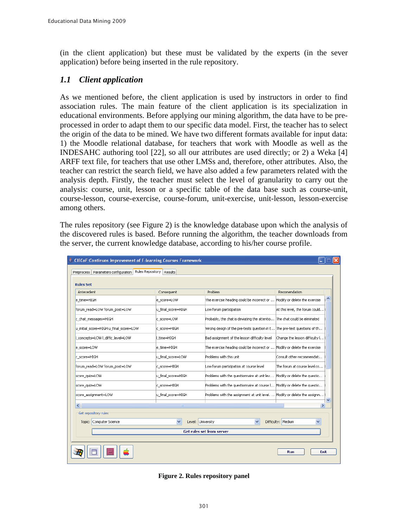(in the client application) but these must be validated by the experts (in the sever application) before being inserted in the rule repository.

## 1.1 Client application

As we mentioned before, the client application is used by instructors in order to find association rules. The main feature of the client application is its specialization in educational environments. Before applying our mining algorithm, the data have to be preprocessed in order to adapt them to our specific data model. First, the teacher has to select the origin of the data to be mined. We have two different formats available for input data: 1) the Moodle relational database, for teachers that work with Moodle as well as the INDESAHC authoring tool [22], so all our attributes are used directly; or 2) a Weka [4] ARFF text file, for teachers that use other LMSs and, therefore, other attributes. Also, the teacher can restrict the search field, we have also added a few parameters related with the analysis depth. Firstly, the teacher must select the level of granularity to carry out the analysis: course, unit, lesson or a specific table of the data base such as course-unit, course-lesson, course-exercise, course-forum, unit-exercise, unit-lesson, lesson-exercise among others.

The rules repository (see Figure 2) is the knowledge database upon which the analysis of the discovered rules is based. Before running the algorithm, the teacher downloads from the server, the current knowledge database, according to his/her course profile.

| CIECoF: Continuos Improvement of E-learning Courses Framework |                                   |                                                                           |                                |
|---------------------------------------------------------------|-----------------------------------|---------------------------------------------------------------------------|--------------------------------|
| Rules Repository<br>Preprocess Parameters configuration       | Results                           |                                                                           |                                |
| <b>Rules Set</b>                                              |                                   |                                                                           |                                |
| Antecedent                                                    | Consequent                        | Problem                                                                   | Recomendation                  |
| e time=HIGH                                                   | e score=LOW                       | The exercise heading could be incorrect or  Modify or delete the exercise |                                |
| forum_read=LOW forum_post=LOW                                 | u_final_score=HIGH                | Low forum participation                                                   | At this level, the forum could |
| c_chat_messages=HIGH                                          | c score=LOW                       | Probably, the chat is deviating the attentio The chat could be eliminated |                                |
| u_initial_score=HIGH u_final_score=LOW                        | c score=HIGH                      | Wrong design of the pre-tests question in t The pre-test questions of th  |                                |
| _concepts=LOW  _diffic_level=LOW                              | time=HIGH                         | Bad assignment of the lesson difficulty level                             | Change the lesson difficulty I |
| e score=LOW                                                   | e time=HIGH                       | The exercise heading could be incorrect or                                | Modify or delete the exercise  |
| c score=HIGH                                                  | u final score=LOW                 | Problems with this unit                                                   | Consult other recommendati     |
| forum read=LOW forum post=LOW                                 | c score=HIGH                      | Low forum participation at course level                                   | The forum at course level co   |
| score quiz=LOW                                                | u final score=HIGH                | Problems with the questionnaire at unit lev                               | Modify or delete the questio   |
| score quiz=LOW                                                | c score=HIGH                      | Problems with the questionnaire at course I Modify or delete the questio  |                                |
| score assignment=LOW                                          | u final score=HIGH                | Problems with the assignment at unit level.  Modify or delete the assignm |                                |
| $\left\langle \right\rangle$                                  | $\mathbf{m}$                      |                                                                           | $\rightarrow$                  |
| Get repository rules                                          |                                   |                                                                           |                                |
| Topic: Computer Science                                       | $\checkmark$<br>Level: University |                                                                           | Difficulty: Medium             |
|                                                               |                                   | <b>Get rules set from server</b>                                          |                                |
|                                                               |                                   |                                                                           |                                |
|                                                               |                                   |                                                                           | Run<br>Exit                    |

**Figure 2. Rules repository panel**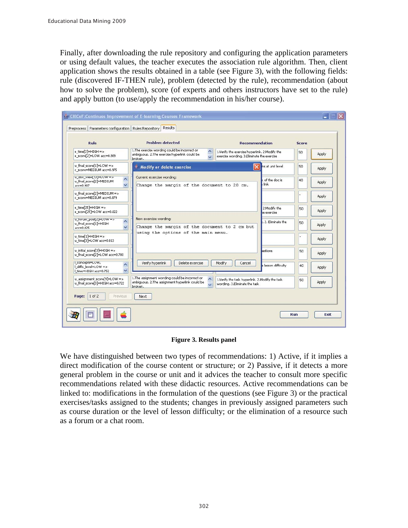Finally, after downloading the rule repository and configuring the application parameters or using default values, the teacher executes the association rule algorithm. Then, client application shows the results obtained in a table (see Figure 3), with the following fields: rule (discovered IF-THEN rule), problem (detected by the rule), recommendation (about how to solve the problem), score (of experts and others instructors have set to the rule) and apply button (to use/apply the recommendation in his/her course).

| Rule                                                                                                  | Problem detected                                                                                                                   | <b>Recommendation</b>                                                                        | <b>Score</b>            |       |
|-------------------------------------------------------------------------------------------------------|------------------------------------------------------------------------------------------------------------------------------------|----------------------------------------------------------------------------------------------|-------------------------|-------|
| e time[2]=HIGH =><br>e_score[2]=LOW_acc=0.989                                                         | 1. The exercise wording could be incorrect or<br>٨<br>ambiguous. 2.The exercise hyperlink could be<br>broken.                      | 1.Verify the exercise hyperlink. 2. Modify the<br>exercise wording. 3.Eliminate the exercise | 50                      | Apply |
| u_final_score[1]=LOW =><br>c score=MEDIUM acc=0.975                                                   | <b>Modify or delete exercise</b>                                                                                                   | $\overline{\mathbf{x}}$                                                                      | ns at unit level<br>50  | Apply |
| u_doc_view[13]=LOW =><br>$\frac{1}{2}$<br>u_final_score[2]=MEDIUM<br>$acc=0.907$                      | Current exercise wording:<br>Change the margin of the document to 20 cm.                                                           | link                                                                                         | of the doc is<br>40     | Apply |
| u final score[2]=MEDIUM =><br>c_score=MEDIUM_acc=0.879                                                |                                                                                                                                    |                                                                                              |                         | Apply |
| e_time[25]=HIGH =><br>e score[25]=LOW acc=0.822                                                       |                                                                                                                                    | 2. Modify the<br>e exercise                                                                  | 50                      | Apply |
| u_forum_post[2]=LOW =><br>$\hat{\phantom{a}}$<br>u_final_score[1]=HIGH<br>$\checkmark$<br>$acc=0.825$ | New exercise wording:<br>Change the margin of the document to 2 cm but                                                             |                                                                                              | 2. Eliminate the<br>50  | Apply |
| u_time[1]=HIGH =><br>u_time[3]=LOW_acc=0.813                                                          | using the options of the main menu.                                                                                                |                                                                                              |                         | Apply |
| u initial score[3]=HIGH =><br>u final score[2]=LOW acc=0.780                                          |                                                                                                                                    | estions                                                                                      | 50                      | Apply |
| I concepts=LOW,<br>Ą<br>I diffic level=LOW =><br>$\ddot{\phantom{0}}$<br>time=HIGH acc=0.752          | Verify hyperlink<br>Delete exercise                                                                                                | Modify<br>Cancel                                                                             | lesson difficulty<br>40 | Apply |
| u assignment score[9]=LOW =><br>u final score[3]=HIGH acc=0.722                                       | 1.The assignment wording could be incorrect or<br>$\hat{\phantom{a}}$<br>ambiquous. 2.The assignment hyperlink could be<br>broken. | 1.Verify the task hyperlink. 2.Modify the task<br>wording, 3.Eliminate the task              | 50                      | Apply |
| $1$ of $2$<br>Previous<br>Page:                                                                       | Next                                                                                                                               |                                                                                              |                         |       |

### **Figure 3. Results panel**

We have distinguished between two types of recommendations: 1) Active, if it implies a direct modification of the course content or structure; or 2) Passive, if it detects a more general problem in the course or unit and it advices the teacher to consult more specific recommendations related with these didactic resources. Active recommendations can be linked to: modifications in the formulation of the questions (see Figure 3) or the practical exercises/tasks assigned to the students; changes in previously assigned parameters such as course duration or the level of lesson difficulty; or the elimination of a resource such as a forum or a chat room.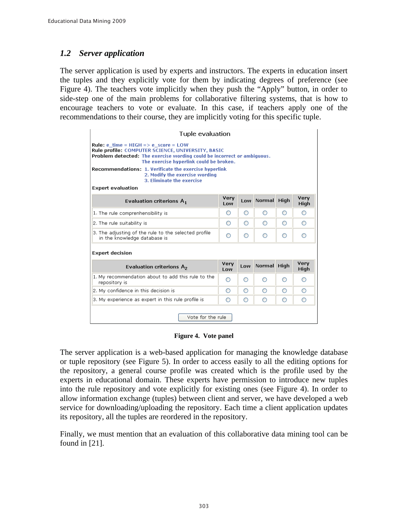### $1.2$ **Server application**

The server application is used by experts and instructors. The experts in education insert the tuples and they explicitly vote for them by indicating degrees of preference (see Figure 4). The teachers vote implicitly when they push the "Apply" button, in order to side-step one of the main problems for collaborative filtering systems, that is how to encourage teachers to vote or evaluate. In this case, if teachers apply one of the recommendations to their course, they are implicitly voting for this specific tuple.

| Tuple evaluation                                                                                                                                                                                                       |             |     |             |             |              |
|------------------------------------------------------------------------------------------------------------------------------------------------------------------------------------------------------------------------|-------------|-----|-------------|-------------|--------------|
| <b>Rule:</b> e time = HIGH => e score = LOW<br>Rule profile: COMPUTER SCIENCE, UNIVERSITY, BASIC<br>Problem detected: The exercise wording could be incorrect or ambiguous.<br>The exercise hyperlink could be broken. |             |     |             |             |              |
| <b>Recommendations: 1. Verificate the exercise hyperlink</b><br>2. Modify the exercise wording<br>3. Eliminate the exercise                                                                                            |             |     |             |             |              |
| <b>Expert evaluation</b>                                                                                                                                                                                               |             |     |             |             |              |
| Evaluation criterions $A_1$                                                                                                                                                                                            | Very<br>Low | Low | Normal      | <b>High</b> | Very<br>High |
| 1. The rule comprenhensibility is                                                                                                                                                                                      | O           | O   | ◠           | O           | O            |
| $ 2.$ The rule suitability is                                                                                                                                                                                          | O           | O   | ∩           | O           | O            |
| 3. The adjusting of the rule to the selected profile<br>in the knowledge database is                                                                                                                                   | ∩           | ∩   | ∩           | ∩           | ∩            |
| <b>Expert decision</b>                                                                                                                                                                                                 |             |     |             |             |              |
| Evaluation criterions $A_2$                                                                                                                                                                                            | Very<br>Low | Low | Normal High |             | Very<br>High |
| 1. My recommendation about to add this rule to the<br>repository is                                                                                                                                                    | Ο           | ∩   | ∩           | ∩           | ∩            |
|                                                                                                                                                                                                                        |             |     |             |             | ∩            |
| 2. My confidence in this decision is                                                                                                                                                                                   | ∩           | ∩   | ∩           | ∩           |              |

Figure 4. Vote panel

The server application is a web-based application for managing the knowledge database or tuple repository (see Figure 5). In order to access easily to all the editing options for the repository, a general course profile was created which is the profile used by the experts in educational domain. These experts have permission to introduce new tuples into the rule repository and vote explicitly for existing ones (see Figure 4). In order to allow information exchange (tuples) between client and server, we have developed a web service for downloading/uploading the repository. Each time a client application updates its repository, all the tuples are reordered in the repository.

Finally, we must mention that an evaluation of this collaborative data mining tool can be found in  $[21]$ .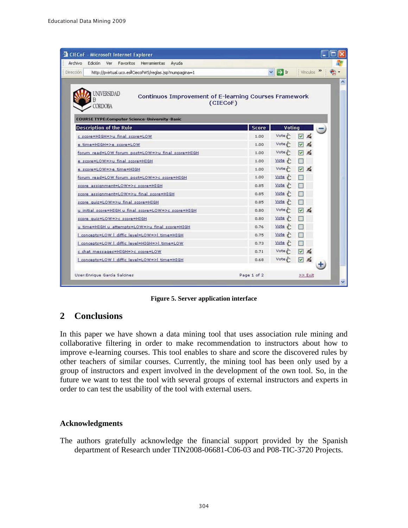| <b>CIECoF</b> - Microsoft Internet Explorer                                                              |              |                      |                           |  |
|----------------------------------------------------------------------------------------------------------|--------------|----------------------|---------------------------|--|
| Archivo<br>Edición Ver<br>Favoritos Herramientas<br>Ayuda                                                |              |                      |                           |  |
| <b>Dirección</b><br>http://pvirtual.uco.esl/CiecofWS/reglas.jsp?numpagina=1                              | $\vee$       | $\rightarrow$ Ir     | Vinculos > 0              |  |
|                                                                                                          |              |                      |                           |  |
| <b>NIVERSIDAD</b><br>Continuos Improvement of E-learning Courses Framework<br>(CIECOF)<br><b>CORDOBA</b> |              |                      |                           |  |
| <b>COURSE TYPE:Computer Science-University-Basic</b>                                                     |              |                      |                           |  |
| <b>Description of the Rule</b>                                                                           | <b>Score</b> | Voting               |                           |  |
| c score=HIGH=>u final score=LOW                                                                          | 1.00         | Vote $\epsilon$      | $\triangledown$ $\preceq$ |  |
| e time=HIGH=>e score=LOW                                                                                 | 1.00         | $\text{Vote } \xi$   | ∇                         |  |
| forum read=LOW forum post=LOW=>u final score=HIGH                                                        | 1.00         | $Vote \frac{1}{6}$   | □ 名                       |  |
| e score=LOW=>u final score=HIGH                                                                          | 1.00         | $\frac{Vote}{r}$     | п                         |  |
| e score=LOW=>e time=HIGH                                                                                 | 1.00         | $Vote \xi$           | ⊡⊿                        |  |
| forum read=LOW forum post=LOW=>c score=HIGH                                                              | 1.00         | $\frac{Vote}{r}$     |                           |  |
| score assignment=LOW=>c score=HIGH                                                                       | 0.85         | Vote $\xi$           |                           |  |
| score assignment=LOW=>u final score=HIGH                                                                 | 0.85         | $\frac{1}{\sqrt{1}}$ |                           |  |
| score quiz=LOW=>u final score=HIGH                                                                       | 0.85         | Vote                 | $\Box$                    |  |
| u initial score=HIGH u final score=LOW=>c score=HIGH                                                     | 0.80         | $Vote \xi$           | ☑ ろ                       |  |
| score quiz=LOW=>c score=HIGH                                                                             | 0.80         | Vote $\xi$           |                           |  |
| u time=HIGH u attempts=LOW=>u final score=HIGH                                                           | 0.76         | $\frac{Vote}{c}$     | $\Box$                    |  |
| concepts=LOW   diffic level=LOW=>  time=HIGH                                                             | 0.75         | $\frac{1}{2}$        |                           |  |
| I concepts=LOW   diffic level=HIGH=>  time=LOW                                                           | 0.73         | $Vote \epsilon$      |                           |  |
| c chat messages=HIGH=>c score=LOW                                                                        | 0.71         | $\text{Vote } \xi$   | ☑ 名                       |  |
| concepts=LOW   diffic level=LOW=>  time=HIGH                                                             | 0.68         | $Vote \frac{1}{5}$   | <b>D</b> &                |  |
| User:Enrique García Salcines                                                                             | Page 1 of 2  |                      | >> Exit                   |  |

**Figure 5. Server application interface** 

### $\overline{2}$ **Conclusions**

In this paper we have shown a data mining tool that uses association rule mining and collaborative filtering in order to make recommendation to instructors about how to improve e-learning courses. This tool enables to share and score the discovered rules by other teachers of similar courses. Currently, the mining tool has been only used by a group of instructors and expert involved in the development of the own tool. So, in the future we want to test the tool with several groups of external instructors and experts in order to can test the usability of the tool with external users.

## **Acknowledgments**

The authors gratefully acknowledge the financial support provided by the Spanish department of Research under TIN2008-06681-C06-03 and P08-TIC-3720 Projects.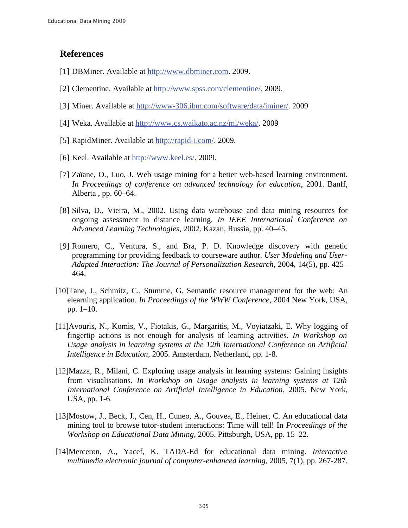## **References**

- [1] DBMiner. Available at http://www.dbminer.com. 2009.
- [2] Clementine. Available at http://www.spss.com/clementine/. 2009.
- [3] Miner. Available at http://www-306.ibm.com/software/data/iminer/. 2009
- [4] Weka. Available at http://www.cs.waikato.ac.nz/ml/weka/. 2009
- [5] RapidMiner. Available at http://rapid-i.com/. 2009.
- [6] Keel. Available at http://www.keel.es/. 2009.
- [7] Zaïane, O., Luo, J. Web usage mining for a better web-based learning environment. In Proceedings of conference on advanced technology for education, 2001. Banff, Alberta, pp. 60–64.
- [8] Silva, D., Vieira, M., 2002. Using data warehouse and data mining resources for ongoing assessment in distance learning. In IEEE International Conference on Advanced Learning Technologies, 2002. Kazan, Russia, pp. 40–45.
- [9] Romero, C., Ventura, S., and Bra, P. D. Knowledge discovery with genetic programming for providing feedback to courseware author. User Modeling and User-Adapted Interaction: The Journal of Personalization Research, 2004, 14(5), pp. 425– 464.
- [10] Tane, J., Schmitz, C., Stumme, G. Semantic resource management for the web: An elearning application. In Proceedings of the WWW Conference, 2004 New York, USA, pp. 1-10.
- [11] Avouris, N., Komis, V., Fiotakis, G., Margaritis, M., Voyiatzaki, E. Why logging of fingertip actions is not enough for analysis of learning activities. In Workshop on Usage analysis in learning systems at the 12th International Conference on Artificial Intelligence in Education, 2005. Amsterdam, Netherland, pp. 1-8.
- [12] Mazza, R., Milani, C. Exploring usage analysis in learning systems: Gaining insights from visualisations. In Workshop on Usage analysis in learning systems at 12th International Conference on Artificial Intelligence in Education, 2005. New York, USA, pp. 1-6.
- [13] Mostow, J., Beck, J., Cen, H., Cuneo, A., Gouvea, E., Heiner, C. An educational data mining tool to browse tutor-student interactions: Time will tell! In Proceedings of the Workshop on Educational Data Mining, 2005. Pittsburgh, USA, pp. 15–22.
- [14] Merceron, A., Yacef, K. TADA-Ed for educational data mining. Interactive multimedia electronic journal of computer-enhanced learning, 2005, 7(1), pp. 267-287.